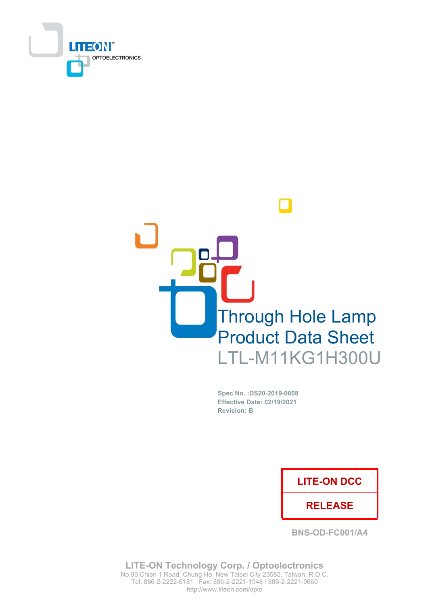



Spec No. : DS20-2019-0008 **Effective Date: 02/19/2021 Revision: B** 

## **LITE-ON DCC**

### **RELEASE**

**BNS-OD-FC001/A4** 

**LITE-ON Technology Corp. / Optoelectronics** No.90, Chien 1 Road, Chung Ho, New Taipei City 23585, Taiwan, R.O.C. Tel: 886-2-2222-6181 Fax: 886-2-2221-1948 / 886-2-2221-0660 http://www.liteon.com/opto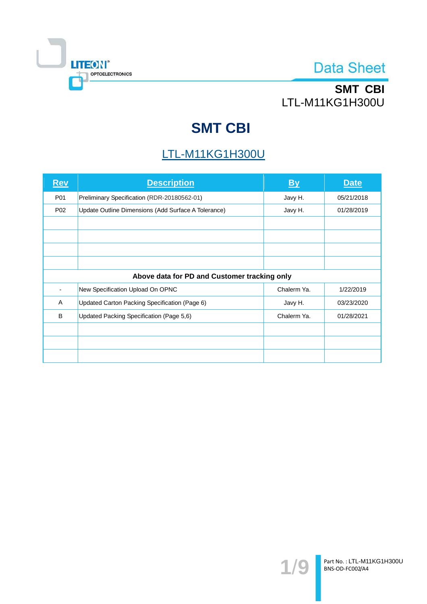

# SMT CBI LTL-M11KG1H300U

# **SMT CBI**

## **LTL-M11KG1H300U**

| <b>Rev</b>                                   | <b>Description</b>                                  | By          | <b>Date</b> |  |  |  |
|----------------------------------------------|-----------------------------------------------------|-------------|-------------|--|--|--|
| P01                                          | Preliminary Specification (RDR-20180562-01)         | Javy H.     | 05/21/2018  |  |  |  |
| P <sub>02</sub>                              | Update Outline Dimensions (Add Surface A Tolerance) | Javy H.     | 01/28/2019  |  |  |  |
|                                              |                                                     |             |             |  |  |  |
|                                              |                                                     |             |             |  |  |  |
|                                              |                                                     |             |             |  |  |  |
|                                              |                                                     |             |             |  |  |  |
| Above data for PD and Customer tracking only |                                                     |             |             |  |  |  |
|                                              | New Specification Upload On OPNC                    | Chalerm Ya. | 1/22/2019   |  |  |  |
| A                                            | Updated Carton Packing Specification (Page 6)       | Javy H.     | 03/23/2020  |  |  |  |
| B                                            | Updated Packing Specification (Page 5,6)            | Chalerm Ya. | 01/28/2021  |  |  |  |
|                                              |                                                     |             |             |  |  |  |
|                                              |                                                     |             |             |  |  |  |
|                                              |                                                     |             |             |  |  |  |

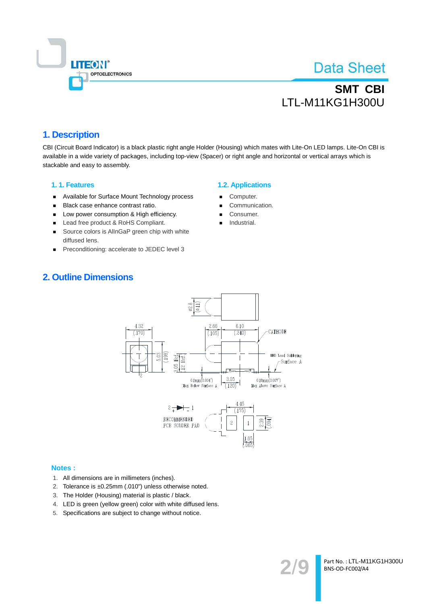

# **SMT CBI** LTL-M11KG1H300U

### 1. Description

CBI (Circuit Board Indicator) is a black plastic right angle Holder (Housing) which mates with Lite-On LED lamps, Lite-On CBI is available in a wide variety of packages, including top-view (Spacer) or right angle and horizontal or vertical arrays which is stackable and easy to assembly.

#### 1.1. Features

- Available for Surface Mount Technology process
- Black case enhance contrast ratio.  $\blacksquare$
- Low power consumption & High efficiency.  $\blacksquare$
- $\blacksquare$ Lead free product & RoHS Compliant.
- Source colors is AllnGaP green chip with white  $\blacksquare$ diffused lens.
- Preconditioning: accelerate to JEDEC level 3  $\blacksquare$

#### **1.2. Applications**

- Computer.
- Communication.
- Consumer.
- Industrial.

### **2. Outline Dimensions**



#### **Notes:**

- 1. All dimensions are in millimeters (inches).
- 2. Tolerance is ±0.25mm (.010") unless otherwise noted.
- 3. The Holder (Housing) material is plastic / black.
- 4. LED is green (yellow green) color with white diffused lens.
- 5. Specifications are subject to change without notice.

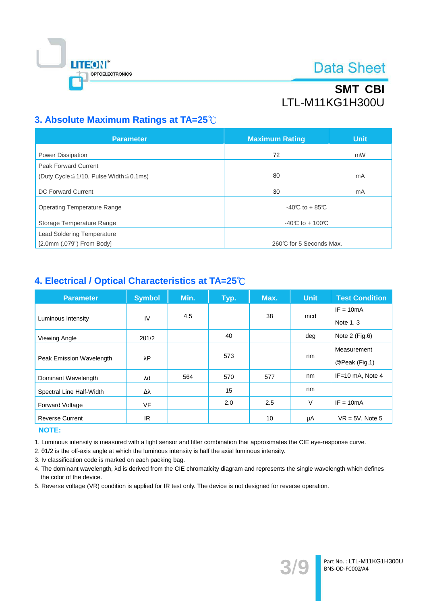

# **SMT CBI LTL-M11KG1H300U**

## 3. Absolute Maximum Ratings at TA=25°C

| <b>Parameter</b>                                   | <b>Maximum Rating</b>   | <b>Unit</b> |
|----------------------------------------------------|-------------------------|-------------|
| Power Dissipation                                  | 72                      | mW          |
| <b>Peak Forward Current</b>                        |                         |             |
| (Duty Cycle $\leq$ 1/10, Pulse Width $\leq$ 0.1ms) | 80                      | mA          |
| DC Forward Current                                 | 30                      | mA          |
| <b>Operating Temperature Range</b>                 | $-40C$ to + 85°C        |             |
| Storage Temperature Range                          | -40°C to + 100°C        |             |
| <b>Lead Soldering Temperature</b>                  |                         |             |
| $[2.0mm(.079")$ From Body]                         | 260℃ for 5 Seconds Max. |             |

### 4. Electrical / Optical Characteristics at TA=25°C

| <b>Parameter</b>         | <b>Symbol</b> | Min. | Typ. | Max. | <b>Unit</b> | <b>Test Condition</b> |
|--------------------------|---------------|------|------|------|-------------|-----------------------|
|                          | IV            | 4.5  |      | 38   | mcd         | $IF = 10mA$           |
| Luminous Intensity       |               |      |      |      |             | Note 1, 3             |
| Viewing Angle            | $2\theta$ 1/2 |      | 40   |      | deg         | Note $2$ (Fig.6)      |
|                          | λP            |      | 573  |      |             | Measurement           |
| Peak Emission Wavelength |               |      |      |      | nm          | @Peak (Fig.1)         |
| Dominant Wavelength      | λd            | 564  | 570  | 577  | nm          | IF=10 mA, Note 4      |
| Spectral Line Half-Width | Δλ            |      | 15   |      | nm          |                       |
| <b>Forward Voltage</b>   | <b>VF</b>     |      | 2.0  | 2.5  | $\vee$      | $IF = 10mA$           |
| <b>Reverse Current</b>   | IR.           |      |      | 10   | μA          | $VR = 5V$ , Note 5    |

### **NOTE:**

1. Luminous intensity is measured with a light sensor and filter combination that approximates the CIE eye-response curve.

2. 01/2 is the off-axis angle at which the luminous intensity is half the axial luminous intensity.

3. Iv classification code is marked on each packing bag.

4. The dominant wavelength, Ad is derived from the CIE chromaticity diagram and represents the single wavelength which defines the color of the device.

5. Reverse voltage (VR) condition is applied for IR test only. The device is not designed for reverse operation.

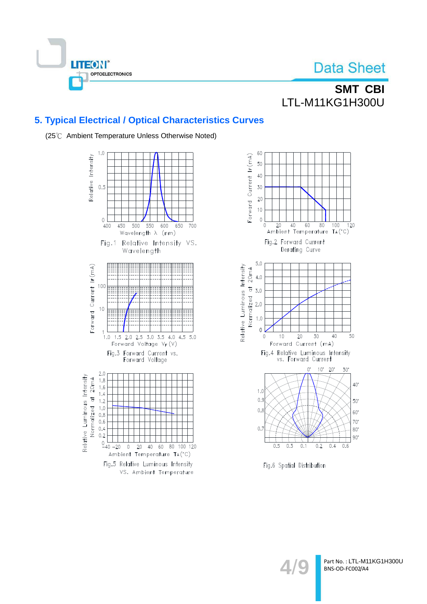

## **SMT CBI** LTL-M11KG1H300U

## 5. Typical Electrical / Optical Characteristics Curves



(25°C Ambient Temperature Unless Otherwise Noted)



Fig.6 Spatial Distribution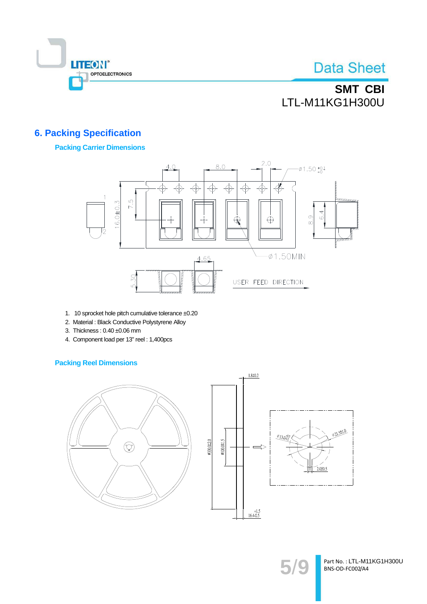

SMT CBI LTL-M11KG1H300U

## **6. Packing Specification**

### **Packing Carrier Dimensions**



- 1. 10 sprocket hole pitch cumulative tolerance ±0.20
- 2. Material : Black Conductive Polystyrene Alloy
- 3. Thickness: 0.40 ±0.06 mm
- 4. Component load per 13" reel: 1,400pcs

### **Packing Reel Dimensions**





Part No.: LTL-M11KG1H300U BNS-OD-FC002/A4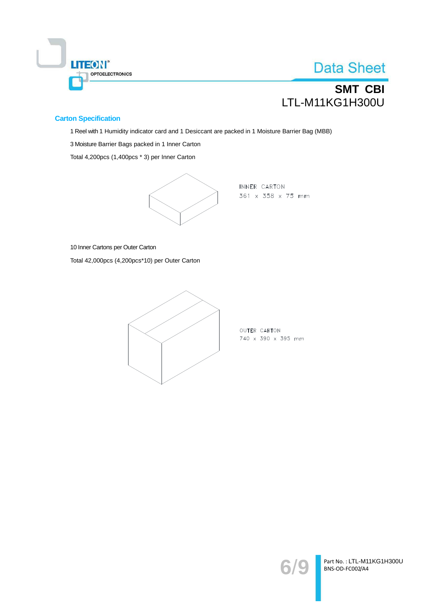

# **SMT CBI** LTL-M11KG1H300U

### **Carton Specification**

1 Reel with 1 Humidity indicator card and 1 Desiccant are packed in 1 Moisture Barrier Bag (MBB)

3 Moisture Barrier Bags packed in 1 Inner Carton

Total 4,200pcs (1,400pcs \* 3) per Inner Carton



INNER CARTON 361 x 358 x 75 mm

10 Inner Cartons per Outer Carton

Total 42,000pcs (4,200pcs\*10) per Outer Carton



OUTER CARTON 740 x 390 x 395 mm

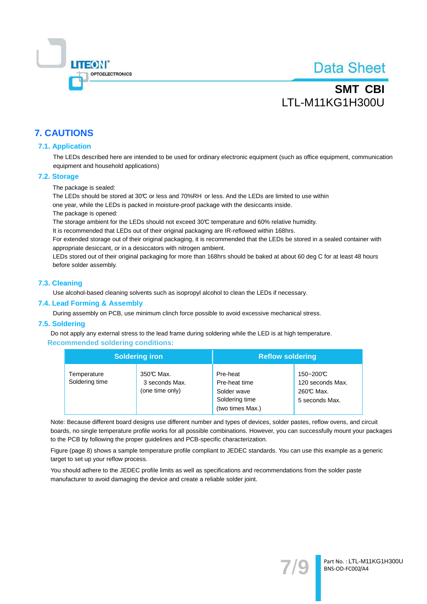

## **SMT CBI** LTL-M11KG1H300U

### **7. CAUTIONS**

#### **7.1. Application**

The LEDs described here are intended to be used for ordinary electronic equipment (such as office equipment, communication equipment and household applications)

#### 7.2. Storage

The package is sealed:

The LEDs should be stored at 30℃ or less and 70%RH or less. And the LEDs are limited to use within

one year, while the LEDs is packed in moisture-proof package with the desiccants inside.

The package is opened:

The storage ambient for the LEDs should not exceed 30°C temperature and 60% relative humidity.

It is recommended that LEDs out of their original packaging are IR-reflowed within 168hrs.

For extended storage out of their original packaging, it is recommended that the LEDs be stored in a sealed container with appropriate desiccant, or in a desiccators with nitrogen ambient.

LEDs stored out of their original packaging for more than 168hrs should be baked at about 60 deg C for at least 48 hours before solder assembly.

#### 7.3. Cleaning

Use alcohol-based cleaning solvents such as isopropyl alcohol to clean the LEDs if necessary.

#### 7.4. Lead Forming & Assembly

During assembly on PCB, use minimum clinch force possible to avoid excessive mechanical stress.

#### 7.5. Soldering

Do not apply any external stress to the lead frame during soldering while the LED is at high temperature. **Recommended soldering conditions:** 

|                               | <b>Soldering iron</b>                          | <b>Reflow soldering</b>                                                        |                                                             |  |
|-------------------------------|------------------------------------------------|--------------------------------------------------------------------------------|-------------------------------------------------------------|--|
| Temperature<br>Soldering time | 350℃ Max.<br>3 seconds Max.<br>(one time only) | Pre-heat<br>Pre-heat time<br>Solder wave<br>Soldering time<br>(two times Max.) | 150~200℃<br>120 seconds Max.<br>260℃ Max.<br>5 seconds Max. |  |

Note: Because different board designs use different number and types of devices, solder pastes, reflow ovens, and circuit boards, no single temperature profile works for all possible combinations. However, you can successfully mount your packages to the PCB by following the proper guidelines and PCB-specific characterization.

Figure (page 8) shows a sample temperature profile compliant to JEDEC standards. You can use this example as a generic target to set up your reflow process.

You should adhere to the JEDEC profile limits as well as specifications and recommendations from the solder paste manufacturer to avoid damaging the device and create a reliable solder joint.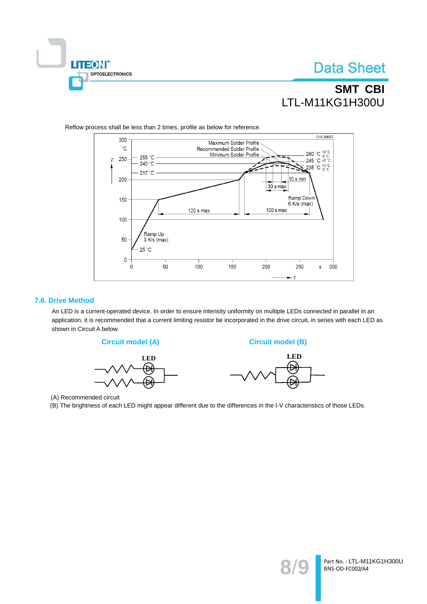

## **SMT CBI LTL-M11KG1H300U**



Reflow process shall be less than 2 times, profile as below for reference.

#### 7.6. Drive Method

An LED is a current-operated device. In order to ensure intensity uniformity on multiple LEDs connected in parallel in an application, it is recommended that a current limiting resistor be incorporated in the drive circuit, in series with each LED as shown in Circuit A below.



(A) Recommended circuit

(B) The brightness of each LED might appear different due to the differences in the I-V characteristics of those LEDs.